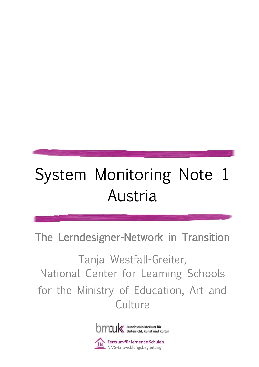# System Monitoring Note 1 Austria

The Lerndesigner-Network in Transition

Tanja Westfall-Greiter, National Center for Learning Schools for the Ministry of Education, Art and **Culture** 



**S Zentrum für lernende Schulen**<br>► NMS-Entwicklungsbegleitung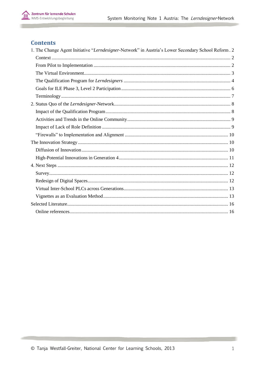## **Contents**

| 1. The Change Agent Initiative "Lerndesigner-Network" in Austria's Lower Secondary School Reform. 2 |
|-----------------------------------------------------------------------------------------------------|
|                                                                                                     |
|                                                                                                     |
|                                                                                                     |
|                                                                                                     |
|                                                                                                     |
|                                                                                                     |
|                                                                                                     |
|                                                                                                     |
|                                                                                                     |
|                                                                                                     |
|                                                                                                     |
|                                                                                                     |
|                                                                                                     |
|                                                                                                     |
|                                                                                                     |
|                                                                                                     |
|                                                                                                     |
|                                                                                                     |
|                                                                                                     |
|                                                                                                     |
|                                                                                                     |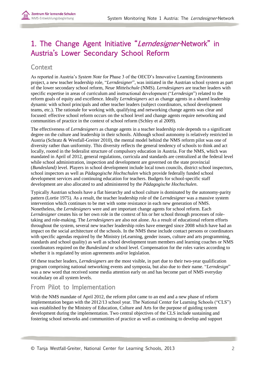# <span id="page-2-0"></span>1. The Change Agent Initiative "Lerndesigner-Network" in Austria's Lower Secondary School Reform

# <span id="page-2-1"></span>**Context**

As reported in Austria's *System Note* for Phase 3 of the OECD's Innovative Learning Environments project, a new teacher leadership role, "*Lerndesigner*", was initiated in the Austrian school system as part of the lower secondary school reform, *Neue Mittelschule* (NMS). *Lerndesigners* are teacher leaders with specific expertise in areas of curriculum and instructional development ("*Lerndesign*") related to the reform goals of equity and excellence. Ideally *Lerndesigners* act as change agents in a shared leadership dynamic with school principals and other teacher leaders (subject coordinators, school development teams, etc.). The rationale for working with, qualifying and networking change agents was clear and focused: effective school reform occurs on the school level and change agents require networking and communities of practice in the context of school reform (Schley et al 2009).

The effectiveness of *Lerndesigners* as change agents in a teacher leadership role depends to a significant degree on the culture and leadership in their schools. Although school autonomy is relatively restricted in Austria (Schratz & Westfall-Greiter 2010), the mental model behind the NMS reform pilot was one of diversity rather than uniformity. This diversity reflects the general tendency of schools to think and act locally, rooted in the federalist structure of compulsory education in Austria. For the NMS, which was mandated in April of 2012, general regulations, curricula and standards are centralized at the federal level while school administration, inspection and development are governed on the state provincial (*Bundesland)* level. Players in school development include local town councils, district school inspectors, school inspectors as well as *Pädagogische Hochschulen* which provide federally funded school development services and continuing education for teachers. Budgets for school-specific staff development are also allocated to and administered by the *Pädagogische Hochschulen*.

Typically Austrian schools have a flat hierarchy and school culture is dominated by the autonomy-parity pattern (Lortie 1975). As a result, the teacher leadership role of the *Lerndesigner* was a massive system intervention which continues to be met with some resistance in each new generation of NMS. Nonetheless, the *Lerndesigners* were and are important change agents for school reform. Each *Lerndesigner* creates his or her own role in the context of his or her school through processes of roletaking and role-making. The *Lerndesigners* are also not alone. As a result of educational reform efforts throughout the system, several new teacher leadership roles have emerged since 2008 which have had an impact on the social architecture of the schools. In the NMS these include contact persons or coordinators with specific agendas required by the Ministry (eLearning, gender issues, culture and arts programming, standards and school quality) as well as school development team members and learning coaches or NMS coordinators required on the *Bundesland* or school level. Compensation for the roles varies according to whether it is regulated by union agreements and/or legislation.

Of these teacher leaders, *Lerndesigners* are the most visible, in part due to their two-year qualification program comprising national networking events and symposia, but also due to their name. "*Lerndesign*" was a new word that received some media attention early on and has become part of NMS everyday vocabulary on all system levels.

# <span id="page-2-2"></span>From Pilot to Implementation

With the NMS mandate of April 2012, the reform pilot came to an end and a new phase of reform implementation began with the 2012/13 school year. The National Center for Learning Schools ("CLS") was established by the Ministry of Education, Culture and Arts for the purpose of guiding system development during the implementation. Two central objectives of the CLS include sustaining and fostering school networks and communities of practice as well as continuing to develop and support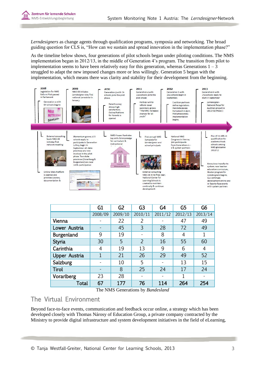

*Lerndesigners* as change agents through qualification programs, symposia and networking. The broad guiding question for CLS is, "How can we sustain and spread innovation in the implementation phase?"

As the timeline below shows, four generations of pilot schools began under piloting conditions. The NMS implementation began in 2012/13, in the middle of Generation 4's program. The transition from pilot to implementation seems to have been relatively easy for this generation, whereas Generations  $1 - 3$ struggled to adapt the new imposed changes more or less willingly. Generation 5 began with the implementation, which means there was clarity and stability for their development from the beginning.



|                      | G1             | G <sub>2</sub>                                                                                                  | G <sub>3</sub> | G <sub>4</sub> | G <sub>5</sub> | G <sub>6</sub> |
|----------------------|----------------|-----------------------------------------------------------------------------------------------------------------|----------------|----------------|----------------|----------------|
|                      | 2008/09        | 2009/10                                                                                                         | 2010/11        | 2011/12        | 2012/13        | 2013/14        |
| Vienna               |                | 22                                                                                                              | 2              |                | 47             | 49             |
| Lower Austria        | -              | 45                                                                                                              | 3              | 28             | 72             | 49             |
| Burgenland           | 9              | 19                                                                                                              |                | 8              | 4              | 1              |
| <b>Styria</b>        | 30             | 5                                                                                                               | $\overline{2}$ | 16             | 55             | 60             |
| Carinthia            | 4              | 19                                                                                                              | 13             | 9              | 6              | 4              |
| <b>Upper Austria</b> | $\overline{1}$ | 21                                                                                                              | 26             | 29             | 49             | 52             |
| Salzburg             | -              | 10                                                                                                              | 5              |                | 13             | 15             |
| <b>Tirol</b>         | -              | 8                                                                                                               | 25             | 24             | 17             | 24             |
| Vorarlberg           | 23             | 28                                                                                                              |                |                | 1              |                |
| Total                | 67             | 177<br>$\overline{1}$ $\overline{1}$ $\overline{1}$ $\overline{1}$ $\overline{1}$ $\overline{1}$ $\overline{1}$ | 76<br>$\sim$   | 114            | 264            | 254            |

The NMS Generations by *Bundesland*

## <span id="page-3-0"></span>The Virtual Environment

Beyond face-to-face events, communication and feedback occur online, a strategy which has been developed closely with Thomas Nárosy of Education Group, a private company contracted by the Ministry to provide digital infrastructure and system development initiatives in the field of eLearning,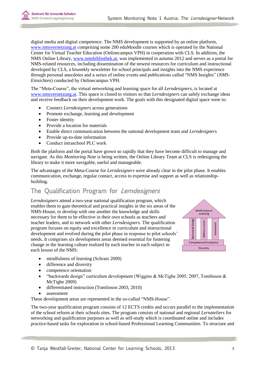

digital media and digital competence. The NMS development is supported by an online platform, [www.nmsvernetzung.at](http://www.nmsvernetzung.at/) comprising some 200 eduMoodle courses which is operated by the National Center for Virtual Teacher Education (Onlinecampus VPH) in cooperation with CLS. In addition, the NMS Online Library, [www.nmsbibliothek.at,](http://www.nmsbibliothek.at/) was implemented in autumn 2012 and serves as a portal for NMS-related resources, including dissemination of the newest resources for curriculum and instructional developed by CLS, a biweekly newsletter for school principals and insights into the NMS experience through personal anecdotes and a series of online events and publications called "NMS Insights" (*NMS-Einsichten*) conducted by Onlinecampus VPH.

The "Meta-Course", the virtual networking and learning space for all *Lerndesigners,* is located at [www.nmsvernetzung.at.](http://www.nmsvernetzung.at/) This space is closed to visitors so that *Lerndesigners* can safely exchange ideas and receive feedback on their development work. The goals with this designated digital space were to:

- Connect *Lerndesigners* across generations
- Promote exchange, learning and development
- Foster identity
- Provide a location for materials
- Enable direct communication between the national development team and *Lerndesigners*
- Provide up-to-date information
- Conduct intraschool PLC work

Both the platform and the portal have grown so rapidly that they have become difficult to manage and navigate. As this *Monitoring Note* is being written, the Online Library Team at CLS is redesigning the library to make it more navigable, useful and manageable.

The advantages of the Meta-Course for *Lerndesigners* were already clear in the pilot phase. It enables communication, exchange, regular contact, access to expertise and support as well as relationshipbuilding.

# <span id="page-4-0"></span>The Qualification Program for Lerndesigners

*Lerndesigners* attend a two-year national qualification program, which enables them to gain theoretical and practical insights in the six areas of the NMS-House, to develop with one another the knowledge and skills necessary for them to be effective in their own schools as teachers and teacher leaders, and to network with other *Lerndesigners*. The qualification program focuses on equity and excellence in curriculum and instructional development and evolved during the pilot phase in response to pilot schools' needs. It comprises six development areas deemed essential for fostering change in the learning culture realized by each teacher in each subject in each lesson of the NMS:



- mindfulness of learning (Schratz 2009)
- difference and diversity
- competence orientation
- "backwards design" curriculum development (Wiggins & McTighe 2005, 2007, Tomlinson & McTighe 2009)
- differentiated instruction (Tomlinson 2003, 2010)
- assessment

These development areas are represented in the so-called "NMS-House".

The two-year qualification program consists of 12 ECTS credits and occurs parallel to the implementation of the school reform at their schools sites. The program consists of national and regional *Lernateliers* for networking and qualification purposes as well as self-study which is coordinated online and includes practice-based tasks for exploration in school-based Professional Learning Communities. To structure and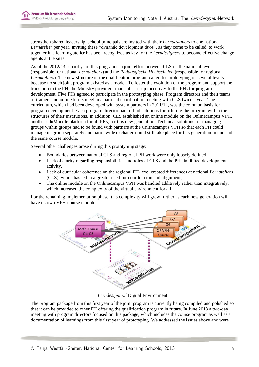

strengthen shared leadership, school principals are invited with their *Lerndesigners* to one national *Lernatelier* per year. Inviting these "dynamic development duos", as they come to be called, to work together in a learning atelier has been recognized as key for the *Lerndesigners* to become effective change agents at the sites.

As of the 2012/13 school year, this program is a joint effort between CLS on the national level (responsible for national *Lernateliers*) and the *Pädagogische Hochschulen* (responsible for regional *Lernateliers*). The new structure of the qualification program called for prototyping on several levels because no such joint program existed as a model. To foster the evolution of the program and support the transition to the PH, the Ministry provided financial start-up incentives to the PHs for program development. Five PHs agreed to participate in the prototyping phase. Program directors and their teams of trainers and online tutors meet in a national coordination meeting with CLS twice a year. The curriculum, which had been developed with system partners in 2011/12, was the common basis for program development. Each program director had to find solutions for offering the program within the structures of their institutions. In addition, CLS established an online module on the Onlinecampus VPH, another eduMoodle platform for all PHs, for this new generation. Technical solutions for managing groups within groups had to be found with partners at the Onlinecampus VPH so that each PH could manage its group separately and nationwide exchange could still take place for this generation in one and the same course module.

Several other challenges arose during this prototyping stage:

- Boundaries between national CLS and regional PH work were only loosely defined,
- Lack of clarity regarding responsibilities and roles of CLS and the PHs inhibited development activity,
- Lack of curricular coherence on the regional PH-level created differences at national *Lernateliers* (CLS), which has led to a greater need for coordination and alignment,
- The online module on the Onlinecampus VPH was handled additively rather than integratively, which increased the complexity of the virtual environment for all.

For the remaining implementation phase, this complexity will grow further as each new generation will have its own VPH-course module.



*Lerndesigners'* Digital Environment

The program package from this first year of the joint program is currently being compiled and polished so that it can be provided to other PH offering the qualification program in future. In June 2013 a two-day meeting with program directors focused on this package, which includes the course program as well as a documentation of learnings from this first year of prototyping. We addressed the issues above and were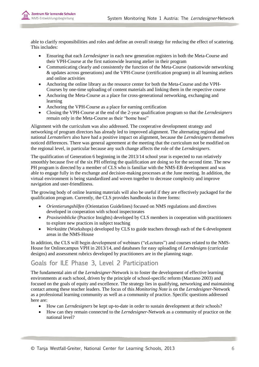

able to clarify responsibilities and roles and define an overall strategy for reducing the effect of scattering. This includes:

- Ensuring that each *Lerndesigner* in each new generation registers in both the Meta-Course and their VPH-Course at the first nationwide learning atelier in their program
- Communicating clearly and consistently the function of the Meta-Course (nationwide networking & updates across generations) and the VPH-Course (certification program) in all learning ateliers and online activities
- Anchoring the online library as the resource center for both the Meta-Course and the VPH-Courses by one-time uploading of content materials and linking them in the respective course
- Anchoring the Meta-Course as a place for cross-generational networking, exchanging and learning
- Anchoring the VPH-Course as a place for earning certification
- Closing the VPH-Course at the end of the 2-year qualification program so that the *Lerndesigners* remain only in the Meta-Course as their "home base"

Alignment with the curriculum was also addressed. The cooperative development strategy and networking of program directors has already led to improved alignment. The alternating regional and national *Lernateliers* also have had a positive impact on alignment, because the *Lerndesigners* themselves noticed differences. There was general agreement at the meeting that the curriculum not be modified on the regional level, in particular because any such change affects the role of the *Lerndesigners*.

The qualification of Generation 6 beginning in the 2013/14 school year is expected to run relatively smoothly because five of the six PH offering the qualification are doing so for the second time. The new PH program is directed by a member of CLS who is familiar with the NMS-EB development and was able to engage fully in the exchange and decision-making processes at the June meeting. In addition, the virtual environment is being standardized and woven together to decrease complexity and improve navigation and user-friendliness.

The growing body of online learning materials will also be useful if they are effectively packaged for the qualification program. Currently, the CLS provides handbooks in three forms:

- *Orientierungshilfen* (Orientation Guidelines) focused on NMS regulations and directives developed in cooperation with school inspectorates
- *Praxiseinblicke* (Practice Insights) developed by CLS members in cooperation with practitioners to explore new practices in subject teaching
- *Werkstätte* (Workshops) developed by CLS to guide teachers through each of the 6 development areas in the NMS-House

In addition, the CLS will begin development of webinars ("eLectures") and courses related to the NMS-House for Onlinecampus VPH in 2013/14, and databases for easy uploading of *Lerndesigns* (curricular designs) and assessment rubrics developed by practitioners are in the planning stage.

# <span id="page-6-0"></span>Goals for ILE Phase 3, Level 2 Participation

The fundamental aim of the *Lerndesigner*-Network is to foster the development of effective learning environments at each school, driven by the principle of school-specific reform (Marzano 2003) and focused on the goals of equity and excellence. The strategy lies in qualifying, networking and maintaining contact among these teacher leaders. The focus of this *Monitoring Note* is on the *Lerndesigner*-Network as a professional learning community as well as a community of practice. Specific questions addressed here are:

- How can *Lerndesigners* be kept up-to-date in order to sustain development at their schools?
- How can they remain connected to the *Lerndesigner*-Network as a community of practice on the national level?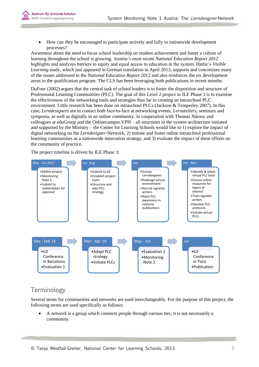

 How can they be encouraged to participate actively and fully in nationwide development processes?

Awareness about the need to focus school leadership on student achievement and foster a culture of learning throughout the school is growing. Austria's most recent *National Education Report 2012* highlights and analyzes barriers to equity and equal access to education in the system. Hattie's *Visible Learning* study, which just appeared in German translation in April 2013, supports and concretizes many of the issues addressed in the *National Education Report 2012* and also reinforces the six development areas in the qualification program. The CLS has been leveraging both publications in recent months.

DuFour (2002) argues that the central task of school leaders is to foster the disposition and structure of Professional Learning Communities (PLC). The goal of this Level 2 project in ILE Phase 3 is to examine the effectiveness of the networking tools and strategies thus far in creating an intraschool PLC environment. Little research has been done on intraschool PLCs (Jackson & Temperley 2007). In this case, *Lerndesigners* are in contact both face-to-face at networking events, *Lernateliers*, seminars and symposia, as well as digitally in an online community. In cooperation with Thomas Nárosy and colleagues at eduGroup and the Onlinecampus VPH – all structures in the system architecture initiated and supported by the Ministry – the Center for Learning Schools would like to 1) explore the impact of digital networking on the *Lerndesigner*-Network, 2) initiate and foster online intraschool professional learning communities as a nationwide innovation strategy, and 3) evaluate the impact of these efforts on the community of practice.

The project timeline is driven by ILE Phase 3:



# <span id="page-7-0"></span>**Terminology**

Several terms for communities and networks are used interchangeably. For the purpose of this project, the following terms are used specifically as follows:

 A *network* is a group which connects people through various ties; it is not necessarily a community.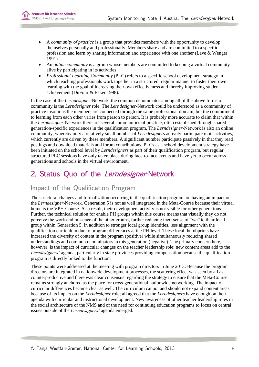

- A *community of practice* is a group that provides members with the opportunity to develop themselves personally and professionally. Members share and are committed to a specific profession and learn by sharing information and experience with one another (Lave & Wenger 1991).
- An *online community* is a group whose members are committed to keeping a virtual community alive by participating in its activities.
- *Professional Learning Community* (PLC) refers to a specific school development strategy in which teaching professionals work together in a structured, regular manner to foster their own learning with the goal of increasing their own effectiveness and thereby improving student achievement (DuFour & Eaker 1998).

In the case of the *Lerndesigner*-Network, the common denominator among all of the above forms of community is the *Lerndesigner* role. The *Lerndesigner*-Network could be understood as a community of practice insofar as the members are connected through the same professional domain, but the commitment to learning from each other varies from person to person. It is probably more accurate to claim that within the *Lerndesigner*-Network there are several communities of practice, often established through shared generation-specific experiences in the qualification program. The *Lerndesigner*-Network is also an online community, whereby only a relatively small number of *Lerndesigners* actively participate in its activities, which currently are driven by these members. A significant number participate passively in that they read postings and download materials and forum contributions. PLCs as a school development strategy have been initiated on the school level by *Lerndesigners* as part of their qualification program, but regular structured PLC sessions have only taken place during face-to-face events and have yet to occur across generations and schools in the virtual environment.

# <span id="page-8-0"></span>2. Status Quo of the Lerndesigner-Network

# <span id="page-8-1"></span>Impact of the Qualification Program

The structural changes and formalization occurring in the qualification program are having an impact on the *Lerndesigner*-Network. Generation 5 is not as well integrated in the Meta-Course because their virtual home is the VPH-Course. As a result, their development activity is not visible for other generations. Further, the technical solution for enable PH groups within this course means that visually they do not perceive the work and presence of the other groups, further reducing their sense of "we" to their local group within Generation 5. In addition to stronger local group identities, less alignment with the qualification curriculum due to program differences at the PH-level. These local thumbprints have increased the diversity of content in the program (positive) while simultaneously reducing shared understandings and common denominators in this generation (negative). The primary concern here, however, is the impact of curricular changes on the teacher leadership role: new content areas add to the *Lerndesigners'* agenda, particularly in state provinces providing compensation because the qualification program is directly linked to the function.

These points were addressed at the meeting with program directors in June 2013. Because the program directors are integrated in nationwide development processes, the scattering effect was seen by all as counterproductive and there was clear consensus regarding the strategy to ensure that the Meta-Course remains strongly anchored as the place for cross-generational nationwide networking. The impact of curricular differences became clear as well. The curriculum cannot and should not expand content areas because of its impact on the *Lerndesigner* role; all agreed that the *Lerndesigners* have enough on their agenda with curricular and instructional development. New awareness of other teacher leadership roles in the social architecture of the NMS and of the need for continuing education programs to focus on central issues outside of the *Lerndesigners'* agenda emerged.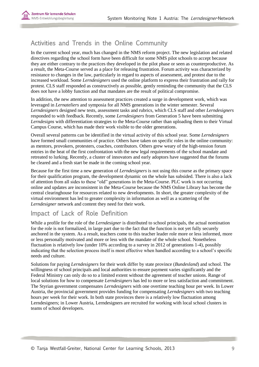

# <span id="page-9-0"></span>Activities and Trends in the Online Community

In the current school year, much has changed in the NMS reform project. The new legislation and related directives regarding the school form have been difficult for some NMS pilot schools to accept because they are either contrary to the practices they developed in the pilot phase or seen as counterproductive. As a result, the Meta-Course served as a place for releasing frustration. Forum activity was characterized by resistance to changes in the law, particularly in regard to aspects of assessment, and protest due to the increased workload. Some *Lerndesigners* used the online platform to express their frustration and rally for protest. CLS staff responded as constructively as possible, gently reminding the community that the CLS does not have a lobby function and that mandates are the result of political compromise.

In addition, the new attention to assessment practices created a surge in development work, which was leveraged in *Lernateliers* and symposia for all NMS generations in the winter semester. Several *Lerndesigners* designed new tests, assessment tasks and rubrics, which CLS staff and other *Lerndesigners* responded to with feedback. Recently, some *Lerndesigners* from Generation 5 have been submitting *Lerndesigns* with differentiation strategies to the Meta-Course rather than uploading them to their Virtual Campus Course, which has made their work visible to the older generations.

Overall several patterns can be identified in the virtual activity of this school year. Some *Lerndesigners* have formed small communities of practice. Others have taken on specific roles in the online community: as mentors, provokers, protesters, coaches, contributors. Others grew weary of the high-tension forum entries in the heat of the first confrontation with the new legal requirements of the school mandate and retreated to lurking. Recently, a cluster of innovators and early adoptors have suggested that the forums be cleared and a fresh start be made in the coming school year.

Because for the first time a new generation of *Lerndesigners* is not using this course as the primary space for their qualification program, the development dynamic on the whole has subsided. There is also a lack of attention from all sides to these "old" generations in the Meta-Course. PLC work is not occurring online and updates are inconsistent in the Meta-Course because the NMS Online Library has become the central clearinghouse for resources related to new developments. In short, the greater complexity of the virtual environment has led to greater complexity in information as well as a scattering of the *Lerndesigner* network and content they need for their work.

# <span id="page-9-1"></span>Impact of Lack of Role Definition

While a profile for the role of the *Lerndesigner* is distributed to school principals, the actual nomination for the role is not formalized, in large part due to the fact that the function is not yet fully securely anchored in the system. As a result, teachers come to this teacher leader role more or less informed, more or less personally motivated and more or less with the mandate of the whole school. Nonetheless fluctuation is relatively low (under 10% according to a survey in 2012 of generations 1-4), possibly indicating that the selection process itself is most effective when handled according to a school's specific needs and culture.

Solutions for paying *Lerndesigners* for their work differ by state province (*Bundesland*) and school. The willingness of school principals and local authorities to ensure payment varies significantly and the Federal Ministry can only do so to a limited extent without the agreement of teacher unions. Range of local solutions for how to compensate *Lerndesigners* has led to more or less satisfaction and commitment. The Styrian government compensates *Lerndesigners* with one overtime teaching hour per week. In Lower Austria, the provincial government provides funding for compensating *Lerndesigners* with two teaching hours per week for their work. In both state provinces there is a relatively low fluctuation among Lerndesigners; in Lower Austria, Lerndesigners are recruited for working with local school clusters in teams of school developers.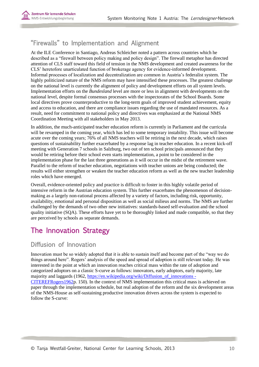

# <span id="page-10-0"></span>"Firewalls" to Implementation and Alignment

At the ILE Conference in Santiago, Andreas Schleicher noted a pattern across countries which he described as a "firewall between policy making and policy design". The firewall metaphor has directed attention of CLS staff toward this field of tension in the NMS development and created awareness for the CLS' heretofore unarticulated function of brokerage agency for evidence-informed development. Informal processes of localization and decentralization are common in Austria's federalist system. The highly politicized nature of the NMS reform may have intensified these processes. The greatest challenge on the national level is currently the alignment of policy and development efforts on all system levels. Implementation efforts on the *Bundesland* level are more or less in alignment with developments on the national level, despite formal consensus processes with the inspectorates of the School Boards. Some local directives prove counterproductive to the long-term goals of improved student achievement, equity and access to education, and there are compliance issues regarding the use of mandated resources. As a result, need for commitment to national policy and directives was emphasized at the National NMS Coordination Meeting with all stakeholders in May 2013.

In addition, the much-anticipated teacher education reform is currently in Parliament and the curricula will be revamped in the coming year, which has led to some temporary instability. This issue will become acute over the coming years; 76% of all NMS teachers will be retiring in the next decade, which raises questions of sustainability further exacerbated by a response lag in teacher education. In a recent kick-off meeting with Generation 7 schools in Salzburg, two out of ten school principals announced that they would be retiring before their school even starts implementation, a point to be considered in the implementation phase for the last three generations as it will occur in the midst of the retirement wave. Parallel to the reform of teacher education, negotiations with teacher unions are being conducted; the results will either strengthen or weaken the teacher education reform as well as the new teacher leadership roles which have emerged.

Overall, evidence-oriented policy and practice is difficult to foster in this highly volatile period of intensive reform in the Austrian education system. This further exacerbates the phenomenon of decisionmaking as a largely non-rational process affected by a variety of factors, including risk, opportunity, availability, emotional and personal disposition as well as social milieus and norms. The NMS are further challenged by the demands of two other new initiatives: standards-based self-evaluation and the school quality initiative (SQA). These efforts have yet to be thoroughly linked and made compatible, so that they are perceived by schools as separate demands.

# <span id="page-10-1"></span>The Innovation Strategy

## <span id="page-10-2"></span>Diffusion of Innovation

Innovation must be so widely adopted that it is able to sustain itself and become part of the "way we do things around here". Rogers' analysis of the speed and spread of adoption is still relevant today. He was interested in the point at which an innovation reaches critical mass within the rate of adoption and categorized adoptors on a classic S-curve as follows: innovators, early adoptors, early majority, late majority and laggards (1962[, https://en.wikipedia.org/wiki/Diffusion\\_of\\_innovations -](https://en.wikipedia.org/wiki/Diffusion_of_innovations#CITEREFRogers1962) [CITEREFRogers1962p](https://en.wikipedia.org/wiki/Diffusion_of_innovations#CITEREFRogers1962). 150). In the context of NMS implementation this critical mass is achieved on paper through the implementation schedule, but real adoption of the reform and the six development areas of the NMS-House as self-sustaining productive innovation drivers across the system is expected to follow the S-curve: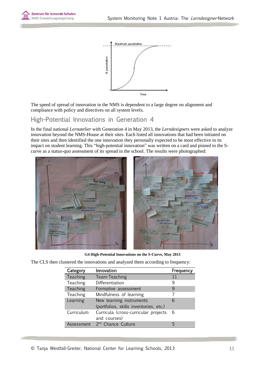



The speed of spread of innovation in the NMS is dependent to a large degree on alignment and compliance with policy and directives on all system levels.

## <span id="page-11-0"></span>High-Potential Innovations in Generation 4

In the final national *Lernatelier* with Generation 4 in May 2013, the *Lerndesigners* were asked to analyze innovation beyond the NMS-House at their sites. Each listed all innovations that had been initiated on their sites and then identified the one innovation they personally expected to be most effective in its impact on student learning. This "high-potential innovation" was written on a card and pinned to the Scurve as a status-quo assessment of its spread in the school. The results were photographed:



**G4 High-Potential Innovations on the S-Curve, May 2013**

The CLS then clustered the innovations and analyzed them according to frequency:

| Category        | Innovation                                                         | Frequency |
|-----------------|--------------------------------------------------------------------|-----------|
| <b>Teaching</b> | Team-Teaching                                                      | 11        |
| Teaching        | Differentiation                                                    | q         |
| Teaching        | Formative assessment                                               | q         |
| Teaching        | Mindfulness of learning                                            |           |
| Learning        | New learning instruments<br>(portfolios, skills inventories, etc.) | 6         |
| Curriculum      | Curricula (cross-curricular projects<br>and courses)               | - 6       |
| Assessment      | 2 <sup>nd</sup> Chance Culture                                     | 5         |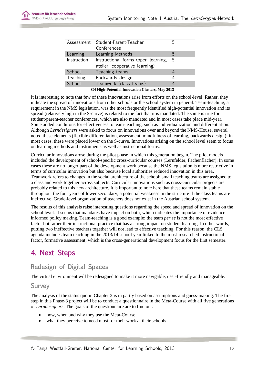| Assessment                                      | Student-Parent-Teacher              |   |  |  |  |
|-------------------------------------------------|-------------------------------------|---|--|--|--|
|                                                 | Conferences                         |   |  |  |  |
| Learning                                        | Learning Methods                    | 5 |  |  |  |
| Instruction                                     | Instructional forms (open learning, | 5 |  |  |  |
|                                                 | atelier, cooperative learning)      |   |  |  |  |
| School                                          | Teaching teams                      |   |  |  |  |
| Teaching                                        | Backwards design                    | 4 |  |  |  |
| School                                          | Teamwork (class teams)              |   |  |  |  |
| G4 High-Potential Innovation Clusters, May 2013 |                                     |   |  |  |  |

It is interesting to note that few of these innovations arise from efforts on the school-level. Rather, they indicate the spread of innovations from other schools or the school system in general. Team-teaching, a requirement in the NMS legislation, was the most frequently identified high-potential innovation and its spread (relatively high in the S-curve) is related to the fact that it is mandated. The same is true for student-parent-teacher conferences, which are also mandated and in most cases take place mid-year. Some added conditions for effectiveness to team-teaching, such as individualization and differentiation. Although *Lerndesigners* were asked to focus on innovations over and beyond the NMS-House, several noted these elements (flexible differentiation, assessment, mindfulness of learning, backwards design); in most cases, these were placed lower on the S-curve. Innovations arising on the school level seem to focus on learning methods and instruments as well as instructional forms.

Curricular innovations arose during the pilot phase in which this generation began. The pilot models included the development of school-specific cross-curricular courses (Lernfelder, Fächenflächer). In some cases these are no longer part of the development work because the NMS legislation is more restrictive in terms of curricular innovation but also because local authorities reduced innovation in this area. Teamwork refers to changes in the social architecture of the school; small teaching teams are assigned to a class and work together across subjects. Curricular innovations such as cross-curricular projects are probably related to this new architecture. It is important to note here that these teams remain stable throughout the four years of lower secondary, a potential weakness in the structure if the class teams are ineffective. Grade-level organization of teachers does not exist in the Austrian school system.

The results of this analysis raise interesting questions regarding the speed and spread of innovation on the school level. It seems that mandates have impact on both, which indicates the importance of evidenceinformed policy making. Team-teaching is a good example: the team *per se* is not the most effective factor but rather their instructional practice that has a strong impact on student learning. In other words, putting two ineffective teachers together will not lead to effective teaching. For this reason, the CLS agenda includes team teaching in the 2013/14 school year linked to the most-researched instructional factor, formative assessment, which is the cross-generational development focus for the first semester.

# <span id="page-12-0"></span>4. Next Steps

# <span id="page-12-1"></span>Redesign of Digital Spaces

The virtual environment will be redesigned to make it more navigable, user-friendly and manageable.

#### Survey

The analysis of the status quo in Chapter 2 is in partly based on assumptions and guess-making. The first step in this Phase-3 project will be to conduct a questionnaire in the Meta-Course with all five generations of *Lerndesigners*. The goals of the questionnaire are to find out:

- how, when and why they use the Meta-Course,
- what they perceive to need most for their work at their schools,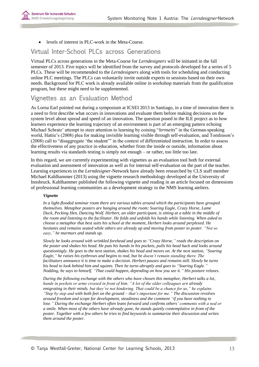

levels of interest in PLC-work in the Meta-Course.

## <span id="page-13-0"></span>Virtual Inter-School PLCs across Generations

Virtual PLCs across generations in the Meta-Course for *Lerndesigners* will be initiated in the fall semester of 2013. Five topics will be identified from the survey and protocols developed for a series of 5 PLCs. These will be recommended to the *Lerndesigners* along with tools for scheduling and conducting online PLC meetings. The PLCs can voluntarily invite outside experts to sessions based on their own needs. Background for PLC work is already available online in workshop materials from the qualification program, but these might need to be supplemented.

#### <span id="page-13-1"></span>Vignettes as an Evaluation Method

As Lorna Earl pointed out during a symposium at ICSEI 2013 in Santiago, in a time of innovation there is a need to first describe what occurs in innovations and evaluate them before making decisions on the system level about spread and speed of an innovation. The question posed in the ILE project as to how learners experience the learning trajectory of an environment is part of an emerging pattern echoing Michael Schratz' attempt to steer attention to learning by coining "*lernseits*" in the German-speaking world, Hattie's (2008) plea for making invisible learning visible through self-evaluation, and Tomlinson's (2008) call to "disaggregate 'the student'" in the context of differentiated instruction. In order to assess the effectiveness of any practice in education, whether from the inside or outside, information about learning results via standards testing is simply not enough – or rather, too little too late.

In this regard, we are currently experimenting with vignettes as an evaluation tool both for external evaluation and assessment of innovation as well as for internal self-evaluation on the part of the teacher. Learning experiences in the *Lerndesigner*-Network have already been researched by CLS staff member Michael Kahlhammer (2013) using the vignette research methodology developed at the University of Innsbruck. Kahlhammer published the following vignette and reading in an article focused on dimensions of professional learning communities as a development strategy in the NMS learning ateliers.

#### *Vignette*

*In a light-flooded seminar room there are various tables around which the participants have grouped themselves. Metaphor posters are hanging around the room: Soaring Eagle, Crazy Horse, Lame Duck, Pecking Hen, Dancing Wolf. Herbert, an older participant, is sitting at a table in the middle of the room and listening to the facilitator. He folds and unfolds his hands while listening. When asked to choose a metaphor that best suits his school at the moment, Herbert looks around perplexed. He hesitates and remains seated while others are already up and moving from poster to poster. "Not so easy," he murmurs and stands up.*

*Slowly he looks around with wrinkled forehead and goes to "Crazy Horse," reads the description on the poster and shakes his head. He puts his hands in his pockets, pulls his head back and looks around questioningly. He goes to the next station, shakes his head and moves on. At the next station, "Soaring Eagle," he raises his eyebrows and begins to nod, but he doesn't remain standing there. The facilitators announce it is time to make a decision. Herbert pauses and remains still. Slowly he turns his head to look behind him and squints. Then he turns abruptly and goes to "Soaring Eagle." Nodding, he says to himself, "That could happen, depending on how you see it." His posture relaxes.*

*During the following exchange with the others who have chosen this metaphor, Herbert talks a lot, hands in pockets or arms crossed in front of him. "A lot of the older colleagues are already emigrating in their minds, but they're not hindering. That could be a chance for us," he explains. "Step by step and with both feet on the ground – that's important for me." The discussion revolves around freedom and scope for development, steadiness and the comment "if you have nothing to lose." During the exchange Herbert often leans forward and confirms others' comments with a nod or a smile. When most of the others have already gone, he stands quietly contemplative in front of the poster. Together with a few others he tries to find keywords to summarize their discussion and writes them around the poster.*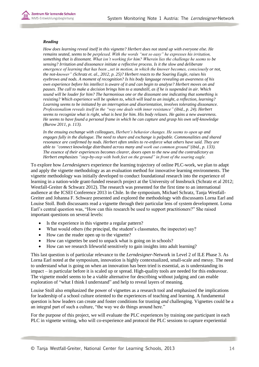#### *Reading*

*How does learning reveal itself in this vignette? Herbert does not stand up with everyone else. He remains seated, seems to be perplexed. With the words "not so easy" he expresses his irritation, something that is dissonant. What isn't working for him? Wherein lies the challenge he seems to be sensing? Irritation and dissonance initiate a reflective process. Is it the slow and deliberate emergence of learning that has been "set in motion, in which the knower becomes, consciously or not, the not-knower" (Schratz et. al., 2012, p. 25)? Herbert reacts to the Soaring Eagle, raises his eyebrows and nods. A moment of recognition? Is his body language revealing an awareness of his own experience before his intellect is aware of it and can begin to analyse? Herbert moves on and pauses. The call to make a decision brings him to a standstill, as if he is suspended in air. Which sound will be louder for him? The harmonious one or the dissonant one indicating that something is resisting? Which experience will be spoken to, which will lead to an insight, a reflection, learning? Learning seems to be initiated by an interruption and disorientation, involves tolerating dissonance. Professionalism reveals itself in the "way one deals with inner resistance" (ibid., p. 24). Herbert seems to recognize what is right, what is best for him. His body relaxes. He gains a new awareness. He seems to have found a personal frame in which he can capture and grasp his own self-knowledge (Burow 2011, p. 113).*

*In the ensuing exchange with colleagues, Herbert's behavior changes. He seems to open up and engages fully in the dialogue. The need to share and exchange is palpable. Commonalities and shared resonance are confirmed by nods. Herbert often smiles to re-enforce what others have said. They are able to "connect knowledge distributed across many and work out common ground"(ibid., p. 133). The essence of their experiences becomes clearer, doors open to the new and the contradictory as Herbert emphasizes "step-by-step with both feet on the ground" in front of the soaring eagle.* 

To explore how *Lerndesigners* experience the learning trajectory of online PLC-work, we plan to adapt and apply the vignette methodology as an evaluation method for innovative learning environments. The vignette methodology was initially developed to conduct foundational research into the experience of learning in a nation-wide grant-funded research project at the University of Innsbruck (Schratz et al 2012; Westfall-Greiter & Schwarz 2012). The research was presented for the first time to an international audience at the ICSEI Conference 2013 in Chile. In the symposium, Michael Schratz, Tanja Westfall-Greiter and Johanna F. Schwarz presented and explored the methodology with discussants Lorna Earl and Louise Stoll. Both discussants read a vignette through their particular lens of system development. Lorna Earl's central question was, "How can this research be used to support practitioners?" She raised important questions on several levels:

- Is the experience in this vignette a regular pattern?
- What would others (the principal, the student's classmates, the inspector) say?
- How can the reader open up to the vignette?
- How can vignettes be used to unpack what is going on in schools?
- How can we research lifeworld sensitively to gain insights into adult learning?

This last question is of particular relevance to the *Lerndesigner*-Network in Level 2 of ILE Phase 3. As Lorna Earl noted at the symposium, innovation is highly contextualized, small-scale and messy. The need to understand what is going on when an innovation has been tried is essential, as is understanding its impact – in particular before it is scaled up or spread. High-quality tools are needed for this endeavour. The vignette model seems to be a viable alternative for describing without judging and can enable exploration of "what I think I understand" and help to reveal layers of meaning.

Louise Stoll also emphasized the power of vignettes as a research tool and emphasized the implications for leadership of a school culture oriented to the experiences of teaching and learning. A fundamental question is how leaders can create and foster conditions for trusting *and* challenging. Vignettes could be a an integral part of such a culture, "the way we do things around here."

For the purpose of this project, we will evaluate the PLC experiences by training one participant in each PLC in vignette writing, who will co-experience and protocol the PLC sessions to capture experiential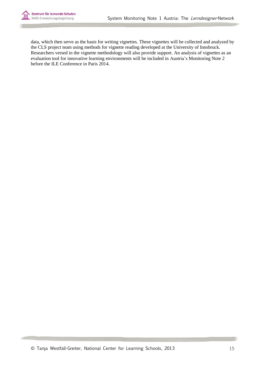

data, which then serve as the basis for writing vignettes. These vignettes will be collected and analyzed by the CLS project team using methods for vignette reading developed at the University of Innsbruck. Researchers versed in the vignette methodology will also provide support. An analysis of vignettes as an evaluation tool for innovative learning environments will be included in Austria's Monitoring Note 2 before the ILE Conference in Paris 2014.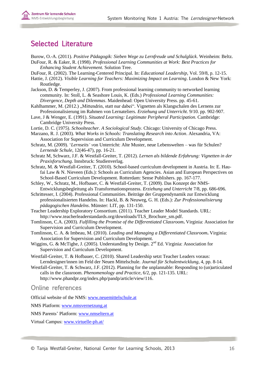# <span id="page-16-0"></span>Selected Literature

- Burow, O.-A. (2011). *Positive Pädagogik: Sieben Wege zu Lernfreude und Schulglück*. Weinheim: Beltz. DuFour, R. & Eaker, R. (1998). *Professional Learning Communities at Work: Best Practices for Enhancing Student Achievement.* Solution Tree.
- DuFour, R. (2002). The Learning-Centered Principal. In: *Educational Leadership*, Vol. 59/8, p. 12-15.
- Hattie, J. (2012). *Visible Learning for Teachers: Maximizing Impact on Learning*. London & New York: Routledge.
- Jackson, D. & Temperley, J. (2007). From professional learning community to networked learning community. In: Stoll, L. & Seashore Louis, K. (Eds.) *Professional Learning Communities: Divergence, Depth and Dilemmas*. Maidenhead: Open University Press. pp. 45-61.
- Kahlhammer, M. (2012.) "Mittendrin, statt nur dabei". Vignetten als Klangschalen des Lernens zur Professionalisierung im Rahmen von Lernateliers. *Erziehung und Unterricht*. 9/10. pp. 902-907.
- Lave, J & Wenger, E. (1991). *Situated Learning: Legitimate Peripheral Participation.* Cambridge: Cambridge University Press.
- Lortie, D. C. (1975). *Schoolteacher. A Sociological Study*. Chicago: University of Chicago Press.
- Marzano, R. J. (2003). *What Works in Schools: Translating Research into Action*. Alexandria, VA: Association for Supervision and Curriculum Development.
- Schratz, M. (2009). '*Lernseits' v*on Unterricht: Alte Muster, neue Lebenswelten was für Schulen? *Lernende Schule*, 12(46-47), pp. 16-21.
- Schratz M, Schwarz, J.F. & Westfall-Greiter, T. (2012). *Lernen als bildende Erfahrung: Vignetten in der Praxisforschung*. Innsbruck: Studienverlag.
- Schratz, M. & Westfall-Greiter, T. (2010). School-based curriculum development in Austria. In: E. Haufai Law & N. Nieveen (Eds.): Schools as Curriculum Agencies. Asian and European Perspectives on School-Based Curriculum Development. Rotterdam: Sense Publishers. pp. 167-177.
- Schley, W., Schratz, M., Hofbauer, C. & Westfall-Greiter, T. (2009). Das Konzept der NMS-Entwicklungsbegleitung als Transformationsprozess. *Erziehung und Unterricht* 7/8, pp. 686-696.
- Schrittesser, I. (2004). Professional Communities. Beiträge der Gruppendynamik zur Entwicklung professionalisierten Handelns. In: Hackl, B. & Neuweg, G. H. (Eds.): *Zur Professionalisierung pädagogischen Handelns*. Münster: LIT, pp. 131-150.
- Teacher Leadership Exploratory Consortium. (2011). Teacher Leader Model Standards. URL: http://www.teacherleaderstandards.org/downloads/TLS\_Brochure\_sm.pdf.
- Tomlinson, C.A. (2003). *Fulfilling the Promise of the Differentiated Classroom***.** Virginia: Association for Supervision and Curriculum Development.
- Tomlinson, C. A. & Imbeau, M. (2010). *Leading and Managing a Differentiated Classroom***.** Virginia: Association for Supervision and Curriculum Development.
- Wiggins, G. & McTighe, J. (2005). Understanding by Design.  $2<sup>nd</sup>$  Ed. Virginia: Association for Supervision and Curriculum Development.
- Westfall-Greiter, T. & Hofbauer, C. (2010). Shared Leadership setzt Teacher Leaders voraus: Lerndesigner/innen im Feld der Neuen Mittelschule. *Journal für Schulentwicklung*, 4, pp. 8-14.
- Westfall-Greiter, T. & Schwarz, J.F. (2012). Planning for the unplannable: Responding to (un)articulated calls in the classroom. *Phenomenology and Practice*, 6/2, pp. 121-135. URL: http://www.phandpr.org/index.php/pandp/article/view/116.

#### <span id="page-16-1"></span>Online references

Official website of the NMS: [www.neuemittelschule.at](http://www.neuemittelschule.at/)

NMS Platform: [www.nmsvernetzung.at](http://www.nmsvernetzung.at/)

NMS Parents' Platform: [www.nmseltern.at](http://www.nmseltern.at/)

Virtual Campus: [www.virtuelle-ph.at/](http://www.virtuelle-ph.at/)